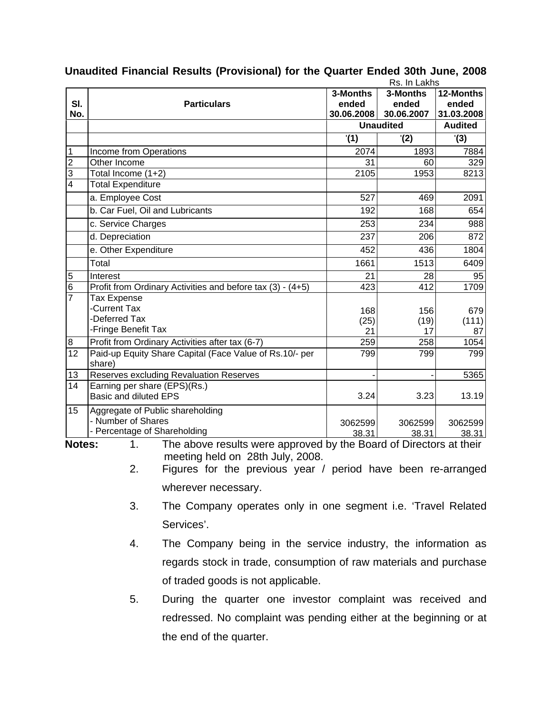| Rs. In Lakhs               |                                                                                                                      |                                 |                                 |                                  |  |
|----------------------------|----------------------------------------------------------------------------------------------------------------------|---------------------------------|---------------------------------|----------------------------------|--|
| SI.<br>No.                 | <b>Particulars</b>                                                                                                   | 3-Months<br>ended<br>30.06.2008 | 3-Months<br>ended<br>30.06.2007 | 12-Months<br>ended<br>31.03.2008 |  |
|                            |                                                                                                                      | <b>Unaudited</b>                |                                 | <b>Audited</b>                   |  |
|                            |                                                                                                                      | '(1)                            | (2)                             | '(3)                             |  |
| 1                          | Income from Operations                                                                                               | 2074                            | 1893                            | 7884                             |  |
| $\overline{2}$             | Other Income                                                                                                         | $\overline{31}$                 | 60                              | 329                              |  |
| $\overline{3}$             | Total Income (1+2)                                                                                                   | 2105                            | 1953                            | 8213                             |  |
| $\overline{4}$             | <b>Total Expenditure</b>                                                                                             |                                 |                                 |                                  |  |
|                            | a. Employee Cost                                                                                                     | 527                             | 469                             | 2091                             |  |
|                            | b. Car Fuel, Oil and Lubricants                                                                                      | 192                             | 168                             | 654                              |  |
|                            | c. Service Charges                                                                                                   | 253                             | 234                             | 988                              |  |
|                            | d. Depreciation                                                                                                      | 237                             | 206                             | 872                              |  |
|                            | e. Other Expenditure                                                                                                 | 452                             | 436                             | 1804                             |  |
|                            | Total                                                                                                                | 1661                            | 1513                            | 6409                             |  |
| 5                          | Interest                                                                                                             | 21                              | 28                              | 95                               |  |
| $\overline{6}$             | Profit from Ordinary Activities and before tax (3) - (4+5)                                                           | 423                             | 412                             | 1709                             |  |
| $\overline{7}$             | Tax Expense<br>-Current Tax<br>-Deferred Tax<br>-Fringe Benefit Tax                                                  | 168<br>(25)                     | 156<br>(19)                     | 679<br>(111)                     |  |
|                            |                                                                                                                      | 21                              | 17                              | 87                               |  |
| $\bf 8$<br>$\overline{12}$ | Profit from Ordinary Activities after tax (6-7)<br>Paid-up Equity Share Capital (Face Value of Rs.10/- per<br>share) | 259<br>799                      | 258<br>799                      | 1054<br>799                      |  |
| 13                         | Reserves excluding Revaluation Reserves                                                                              |                                 |                                 | 5365                             |  |
| 14                         | Earning per share (EPS)(Rs.)<br><b>Basic and diluted EPS</b>                                                         | 3.24                            | 3.23                            | 13.19                            |  |
| 15                         | Aggregate of Public shareholding<br>- Number of Shares<br>- Percentage of Shareholding                               | 3062599<br>38.31                | 3062599<br>38.31                | 3062599<br>38.31                 |  |

## **Unaudited Financial Results (Provisional) for the Quarter Ended 30th June, 2008**

**Notes:** 1. The above results were approved by the Board of Directors at their meeting held on 28th July, 2008.

2. Figures for the previous year / period have been re-arranged wherever necessary.

- 3. The Company operates only in one segment i.e. 'Travel Related Services'.
- 4. The Company being in the service industry, the information as regards stock in trade, consumption of raw materials and purchase of traded goods is not applicable.
- 5. During the quarter one investor complaint was received and redressed. No complaint was pending either at the beginning or at the end of the quarter.